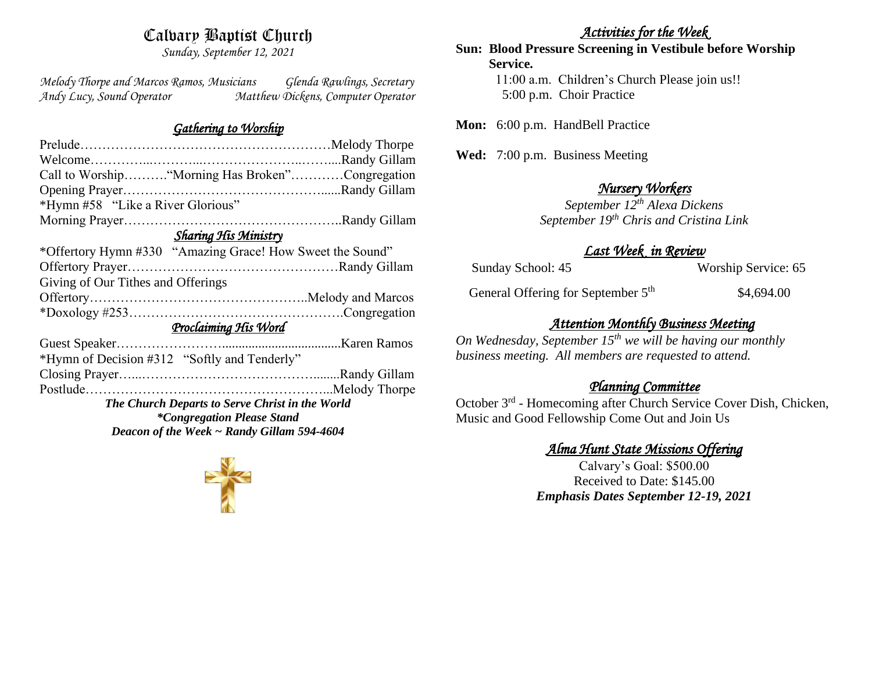# Calvary Baptist Church

*Sunday, September 12, 2021*

*Melody Thorpe and Marcos Ramos, Musicians Glenda Rawlings, Secretary Andy Lucy, Sound Operator Matthew Dickens, Computer Operator* 

#### *Gathering to Worship*

| Call to Worship "Morning Has Broken"Congregation          |  |
|-----------------------------------------------------------|--|
|                                                           |  |
| *Hymn #58 "Like a River Glorious"                         |  |
|                                                           |  |
| <b>Sharing His Ministry</b>                               |  |
| *Offertory Hymn #330 "Amazing Grace! How Sweet the Sound" |  |
|                                                           |  |
| Giving of Our Tithes and Offerings                        |  |
|                                                           |  |
|                                                           |  |
| Proclaiming His Word                                      |  |
|                                                           |  |
| *Hymn of Decision #312 "Softly and Tenderly"              |  |
|                                                           |  |
|                                                           |  |
| The Church Departs to Serve Christ in the World           |  |
| <i>*Congregation Please Stand</i>                         |  |
| Deacon of the Week ~ Randy Gillam 594-4604                |  |

#### *Activities for the Week*

**Sun: Blood Pressure Screening in Vestibule before Worship Service.**  11:00 a.m. Children's Church Please join us!! 5:00 p.m. Choir Practice

Mon: 6:00 p.m. HandBell Practice

**Wed:** 7:00 p.m. Business Meeting

## *Nursery Workers*

*September 12th Alexa Dickens September 19th Chris and Cristina Link* 

# *Last Week in Review*

Sunday School: 45 Worship Service: 65

General Offering for September 5<sup>th</sup> \$4,694.00

# *Attention Monthly Business Meeting*

*On Wednesday, September 15th we will be having our monthly business meeting. All members are requested to attend.* 

## *Planning Committee*

October 3<sup>rd</sup> - Homecoming after Church Service Cover Dish, Chicken, Music and Good Fellowship Come Out and Join Us

## *Alma Hunt State Missions Offering*

Calvary's Goal: \$500.00 Received to Date: \$145.00 *Emphasis Dates September 12-19, 2021*

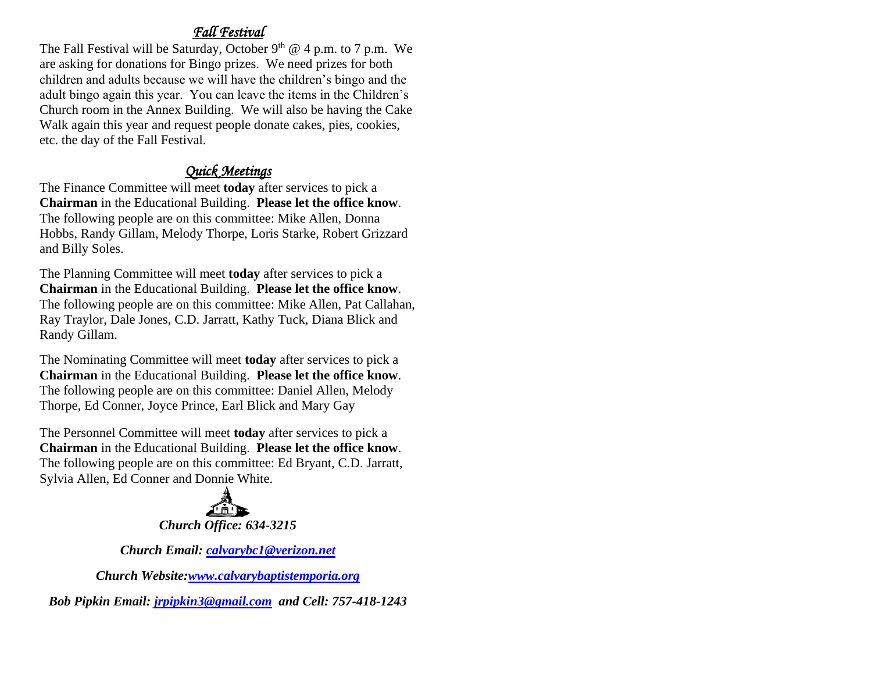# *Fall Festival*

The Fall Festival will be Saturday, October  $9<sup>th</sup>$  @ 4 p.m. to 7 p.m. We are asking for donations for Bingo prizes. We need prizes for both children and adults because we will have the children's bingo and the adult bingo again this year. You can leave the items in the Children's Church room in the Annex Building. We will also be having the Cake Walk again this year and request people donate cakes, pies, cookies, etc. the day of the Fall Festival.

# *Quick Meetings*

The Finance Committee will meet **today** after services to pick a **Chairman** in the Educational Building. **Please let the office know**. The following people are on this committee: Mike Allen, Donna Hobbs, Randy Gillam, Melody Thorpe, Loris Starke, Robert Grizzard and Billy Soles.

The Planning Committee will meet **today** after services to pick a **Chairman** in the Educational Building. **Please let the office know**. The following people are on this committee: Mike Allen, Pat Callahan, Ray Traylor, Dale Jones, C.D. Jarratt, Kathy Tuck, Diana Blick and Randy Gillam.

The Nominating Committee will meet **today** after services to pick a **Chairman** in the Educational Building. **Please let the office know**. The following people are on this committee: Daniel Allen, Melody Thorpe, Ed Conner, Joyce Prince, Earl Blick and Mary Gay

The Personnel Committee will meet **today** after services to pick a **Chairman** in the Educational Building. **Please let the office know**. The following people are on this committee: Ed Bryant, C.D. Jarratt, Sylvia Allen, Ed Conner and Donnie White.



*Church Email: [calvarybc1@verizon.net](mailto:cbcemporiaoffice@gmail.com)*

*Church Website[:www.calvarybaptistemporia.org](http://www.calvarybaptistemporia.org/)*

*Bob Pipkin Email: [jrpipkin3@gmail.com](mailto:jrpipkin3@gmail.com) and Cell: 757-418-1243*